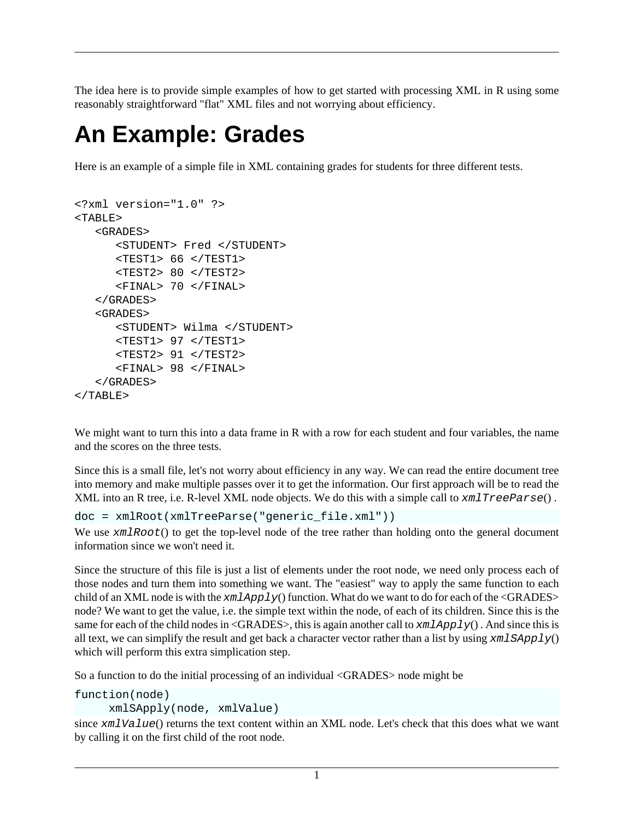The idea here is to provide simple examples of how to get started with processing XML in R using some reasonably straightforward "flat" XML files and not worrying about efficiency.

## **An Example: Grades**

Here is an example of a simple file in XML containing grades for students for three different tests.

```
<?xml version="1.0" ?> 
<TABLE> 
    <GRADES> 
        <STUDENT> Fred </STUDENT> 
        <TEST1> 66 </TEST1> 
        <TEST2> 80 </TEST2> 
        <FINAL> 70 </FINAL> 
    </GRADES> 
    <GRADES> 
        <STUDENT> Wilma </STUDENT> 
        <TEST1> 97 </TEST1> 
        <TEST2> 91 </TEST2> 
        <FINAL> 98 </FINAL> 
    </GRADES> 
</TABLE>
```
We might want to turn this into a data frame in R with a row for each student and four variables, the name and the scores on the three tests.

Since this is a small file, let's not worry about efficiency in any way. We can read the entire document tree into memory and make multiple passes over it to get the information. Our first approach will be to read the XML into an R tree, i.e. R-level XML node objects. We do this with a simple call to  $xmlTreeParse()$ .

```
doc = xmlRoot(xmlTreeParse("generic_file.xml"))
```
We use  $xmlRoot()$  to get the top-level node of the tree rather than holding onto the general document information since we won't need it.

Since the structure of this file is just a list of elements under the root node, we need only process each of those nodes and turn them into something we want. The "easiest" way to apply the same function to each child of an XML node is with the  $xmlApply()$  function. What do we want to do for each of the <GRADES> node? We want to get the value, i.e. the simple text within the node, of each of its children. Since this is the same for each of the child nodes in <GRADES>, this is again another call to  $xmlApply()$ . And since this is all text, we can simplify the result and get back a character vector rather than a list by using  $xmLSApply()$ which will perform this extra simplication step.

So a function to do the initial processing of an individual <GRADES> node might be

```
function(node)
```
xmlSApply(node, xmlValue)

since xmlValue() returns the text content within an XML node. Let's check that this does what we want by calling it on the first child of the root node.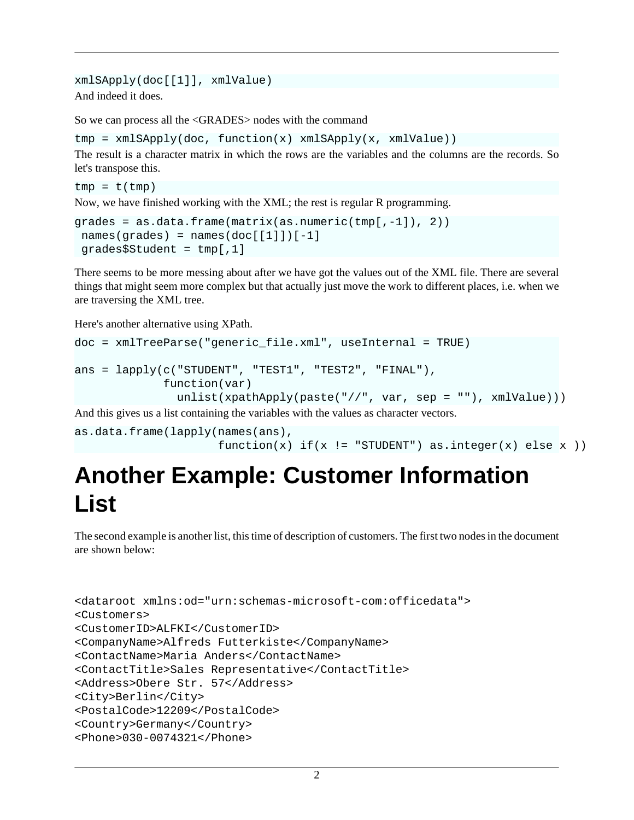xmlSApply(doc[[1]], xmlValue) And indeed it does.

So we can process all the <GRADES> nodes with the command

```
tmp = xmlSApply(doc, function(x) xmlSApply(x, xmlValue))
```
The result is a character matrix in which the rows are the variables and the columns are the records. So let's transpose this.

```
tmp = t(tmp)Now, we have finished working with the XML; the rest is regular R programming.
```

```
grades = as.data.frame(matrix(as.numeric(tmp[,-1]), 2))
names(grades) = names(doc[[1]])[-1] grades$Student = tmp[,1]
```
There seems to be more messing about after we have got the values out of the XML file. There are several things that might seem more complex but that actually just move the work to different places, i.e. when we are traversing the XML tree.

Here's another alternative using XPath.

```
doc = xmlTreeParse("generic_file.xml", useInternal = TRUE)
ans = lapply(c("STUDENT", "TEST1", "TEST2", "FINAL"),
              function(var)
                unlist(xpathApply(paste("//", var, sep = ""), xmlValue)))
```
And this gives us a list containing the variables with the values as character vectors.

```
as.data.frame(lapply(names(ans), 
                     function(x) if(x != "STUDENT") as.integer(x) else x ))
```
## **Another Example: Customer Information List**

The second example is another list, this time of description of customers. The first two nodes in the document are shown below:

```
<dataroot xmlns:od="urn:schemas-microsoft-com:officedata">
<Customers>
<CustomerID>ALFKI</CustomerID>
<CompanyName>Alfreds Futterkiste</CompanyName>
<ContactName>Maria Anders</ContactName>
<ContactTitle>Sales Representative</ContactTitle>
<Address>Obere Str. 57</Address>
<City>Berlin</City>
<PostalCode>12209</PostalCode>
<Country>Germany</Country>
<Phone>030-0074321</Phone>
```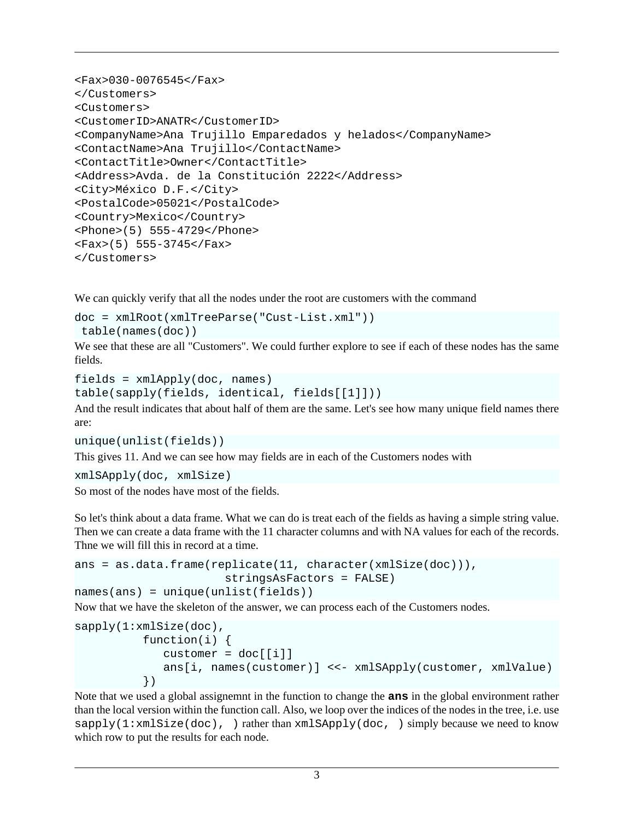```
<Fax>030-0076545</Fax>
</Customers>
<Customers>
<CustomerID>ANATR</CustomerID>
<CompanyName>Ana Trujillo Emparedados y helados</CompanyName>
<ContactName>Ana Trujillo</ContactName>
<ContactTitle>Owner</ContactTitle>
<Address>Avda. de la Constitución 2222</Address>
<City>México D.F.</City>
<PostalCode>05021</PostalCode>
<Country>Mexico</Country>
<Phone>(5) 555-4729</Phone>
<Fax>(5) 555-3745</Fax>
</Customers>
```
We can quickly verify that all the nodes under the root are customers with the command

```
doc = xmlRoot(xmlTreeParse("Cust-List.xml"))
```

```
 table(names(doc))
```
We see that these are all "Customers". We could further explore to see if each of these nodes has the same fields.

 $fields = xmlApply(doc, names)$ 

```
table(sapply(fields, identical, fields[[1]]))
```
And the result indicates that about half of them are the same. Let's see how many unique field names there are:

```
unique(unlist(fields))
```
This gives 11. And we can see how may fields are in each of the Customers nodes with

```
xmlSApply(doc, xmlSize)
```
So most of the nodes have most of the fields.

So let's think about a data frame. What we can do is treat each of the fields as having a simple string value. Then we can create a data frame with the 11 character columns and with NA values for each of the records. Thne we will fill this in record at a time.

```
ans = as.data.frame(replicate(11, character(xmlSize(doc))), 
                       stringsAsFactors = FALSE)
names(ans) = unique(unlist(fields))
```
Now that we have the skeleton of the answer, we can process each of the Customers nodes.

```
sapply(1:xmlSize(doc),
           function(i) {
             customer = doc[[i]] ans[i, names(customer)] <<- xmlSApply(customer, xmlValue)
           })
```
Note that we used a global assignemnt in the function to change the **ans** in the global environment rather than the local version within the function call. Also, we loop over the indices of the nodes in the tree, i.e. use  $\text{supply}(1:\text{cm}1size(doc))$ , ) rather than  $xmlSApply(doc, )$  simply because we need to know which row to put the results for each node.